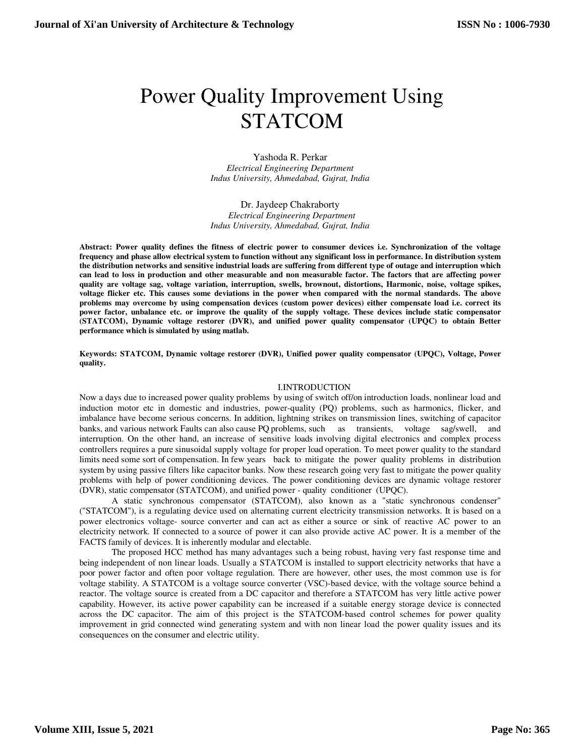# Power Quality Improvement Using STATCOM

Yashoda R. Perkar *Electrical Engineering Department Indus University, Ahmedabad, Gujrat, India* 

Dr. Jaydeep Chakraborty *Electrical Engineering Department Indus University, Ahmedabad, Gujrat, India* 

**Abstract: Power quality defines the fitness of electric power to consumer devices i.e. Synchronization of the voltage frequency and phase allow electrical system to function without any significant loss in performance. In distribution system the distribution networks and sensitive industrial loads are suffering from different type of outage and interruption which can lead to loss in production and other measurable and non measurable factor. The factors that are affecting power quality are voltage sag, voltage variation, interruption, swells, brownout, distortions, Harmonic, noise, voltage spikes, voltage flicker etc. This causes some deviations in the power when compared with the normal standards. The above problems may overcome by using compensation devices (custom power devices) either compensate load i.e. correct its power factor, unbalance etc. or improve the quality of the supply voltage. These devices include static compensator (STATCOM), Dynamic voltage restorer (DVR), and unified power quality compensator (UPQC) to obtain Better performance which is simulated by using matlab.** 

**Keywords: STATCOM, Dynamic voltage restorer (DVR), Unified power quality compensator (UPQC), Voltage, Power quality.** 

#### I.INTRODUCTION

Now a days due to increased power quality problems by using of switch off/on introduction loads, nonlinear load and induction motor etc in domestic and industries, power-quality (PQ) problems, such as harmonics, flicker, and imbalance have become serious concerns. In addition, lightning strikes on transmission lines, switching of capacitor banks, and various network Faults can also cause PQ problems, such as transients, voltage sag/swell, and interruption. On the other hand, an increase of sensitive loads involving digital electronics and complex process controllers requires a pure sinusoidal supply voltage for proper load operation. To meet power quality to the standard limits need some sort of compensation. In few years back to mitigate the power quality problems in distribution system by using passive filters like capacitor banks. Now these research going very fast to mitigate the power quality problems with help of power conditioning devices. The power conditioning devices are dynamic voltage restorer (DVR), static compensator (STATCOM), and unified power - quality conditioner (UPQC).

A static synchronous compensator (STATCOM), also known as a "static synchronous condenser" ("STATCOM"), is a regulating device used on alternating current electricity transmission networks. It is based on a power electronics voltage- source converter and can act as either a source or sink of reactive AC power to an electricity network. If connected to a source of power it can also provide active AC power. It is a member of the FACTS family of devices. It is inherently modular and electable.

The proposed HCC method has many advantages such a being robust, having very fast response time and being independent of non linear loads. Usually a STATCOM is installed to support electricity networks that have a poor power factor and often poor voltage regulation. There are however, other uses, the most common use is for voltage stability. A STATCOM is a voltage source converter (VSC)-based device, with the voltage source behind a reactor. The voltage source is created from a DC capacitor and therefore a STATCOM has very little active power capability. However, its active power capability can be increased if a suitable energy storage device is connected across the DC capacitor. The aim of this project is the STATCOM-based control schemes for power quality improvement in grid connected wind generating system and with non linear load the power quality issues and its consequences on the consumer and electric utility.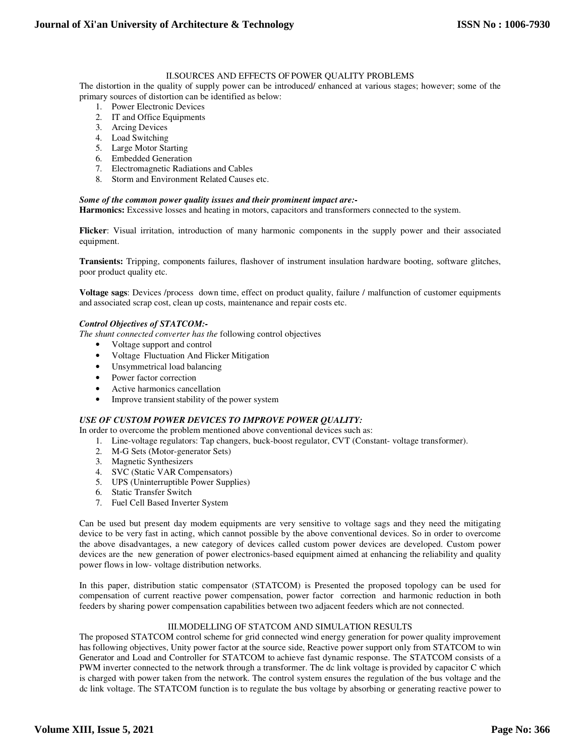## II.SOURCES AND EFFECTS OF POWER QUALITY PROBLEMS

The distortion in the quality of supply power can be introduced/ enhanced at various stages; however; some of the primary sources of distortion can be identified as below:

- 1. Power Electronic Devices
- 2. IT and Office Equipments
- 3. Arcing Devices
- 4. Load Switching
- 5. Large Motor Starting
- 6. Embedded Generation
- 7. Electromagnetic Radiations and Cables
- 8. Storm and Environment Related Causes etc.

### *Some of the common power quality issues and their prominent impact are:-*

**Harmonics:** Excessive losses and heating in motors, capacitors and transformers connected to the system.

**Flicker**: Visual irritation, introduction of many harmonic components in the supply power and their associated equipment.

**Transients:** Tripping, components failures, flashover of instrument insulation hardware booting, software glitches, poor product quality etc.

**Voltage sags**: Devices /process down time, effect on product quality, failure / malfunction of customer equipments and associated scrap cost, clean up costs, maintenance and repair costs etc.

#### *Control Objectives of STATCOM:-*

*The shunt connected converter has the* following control objectives

- Voltage support and control
- Voltage Fluctuation And Flicker Mitigation
- Unsymmetrical load balancing
- Power factor correction
- Active harmonics cancellation
- Improve transient stability of the power system

## *USE OF CUSTOM POWER DEVICES TO IMPROVE POWER QUALITY:*

In order to overcome the problem mentioned above conventional devices such as:

- 1. Line-voltage regulators: Tap changers, buck-boost regulator, CVT (Constant- voltage transformer).
- 2. M-G Sets (Motor-generator Sets)
- 3. Magnetic Synthesizers
- 4. SVC (Static VAR Compensators)
- 5. UPS (Uninterruptible Power Supplies)
- 6. Static Transfer Switch
- 7. Fuel Cell Based Inverter System

Can be used but present day modem equipments are very sensitive to voltage sags and they need the mitigating device to be very fast in acting, which cannot possible by the above conventional devices. So in order to overcome the above disadvantages, a new category of devices called custom power devices are developed. Custom power devices are the new generation of power electronics-based equipment aimed at enhancing the reliability and quality power flows in low- voltage distribution networks.

In this paper, distribution static compensator (STATCOM) is Presented the proposed topology can be used for compensation of current reactive power compensation, power factor correction and harmonic reduction in both feeders by sharing power compensation capabilities between two adjacent feeders which are not connected.

## III.MODELLING OF STATCOM AND SIMULATION RESULTS

The proposed STATCOM control scheme for grid connected wind energy generation for power quality improvement has following objectives, Unity power factor at the source side, Reactive power support only from STATCOM to win Generator and Load and Controller for STATCOM to achieve fast dynamic response. The STATCOM consists of a PWM inverter connected to the network through a transformer. The dc link voltage is provided by capacitor C which is charged with power taken from the network. The control system ensures the regulation of the bus voltage and the dc link voltage. The STATCOM function is to regulate the bus voltage by absorbing or generating reactive power to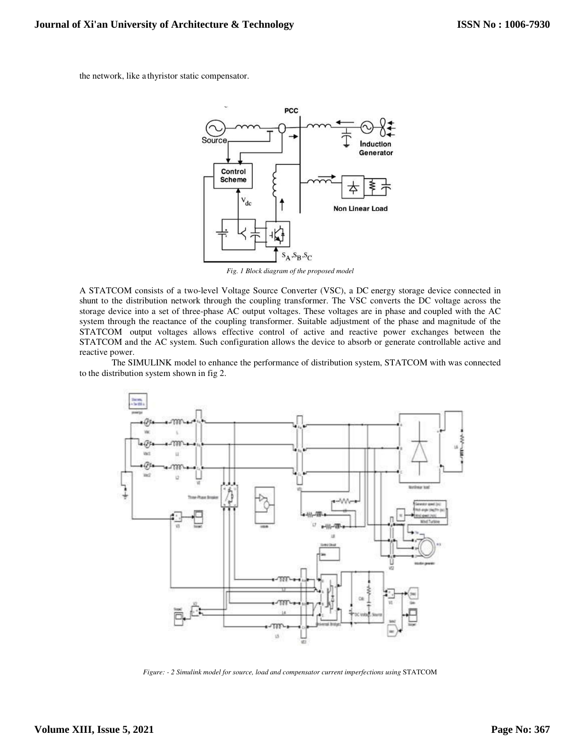the network, like a thyristor static compensator.



*Fig. 1 Block diagram of the proposed model*

A STATCOM consists of a two-level Voltage Source Converter (VSC), a DC energy storage device connected in shunt to the distribution network through the coupling transformer. The VSC converts the DC voltage across the storage device into a set of three-phase AC output voltages. These voltages are in phase and coupled with the AC system through the reactance of the coupling transformer. Suitable adjustment of the phase and magnitude of the STATCOM output voltages allows effective control of active and reactive power exchanges between the STATCOM and the AC system. Such configuration allows the device to absorb or generate controllable active and reactive power.

The SIMULINK model to enhance the performance of distribution system, STATCOM with was connected to the distribution system shown in fig 2.



*Figure: - 2 Simulink model for source, load and compensator current imperfections using* STATCOM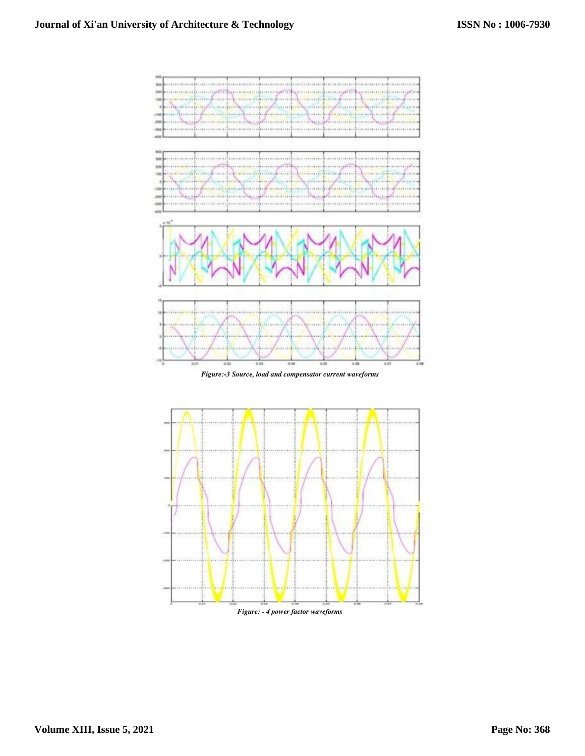

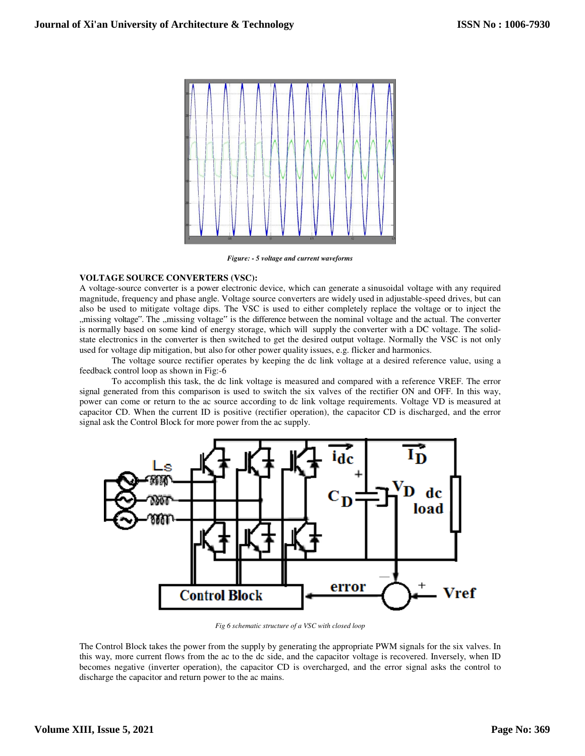

*Figure: - 5 voltage and current waveforms* 

# **VOLTAGE SOURCE CONVERTERS (VSC):**

A voltage-source converter is a power electronic device, which can generate a sinusoidal voltage with any required magnitude, frequency and phase angle. Voltage source converters are widely used in adjustable-speed drives, but can also be used to mitigate voltage dips. The VSC is used to either completely replace the voltage or to inject the "missing voltage". The "missing voltage" is the difference between the nominal voltage and the actual. The converter is normally based on some kind of energy storage, which will supply the converter with a DC voltage. The solidstate electronics in the converter is then switched to get the desired output voltage. Normally the VSC is not only used for voltage dip mitigation, but also for other power quality issues, e.g. flicker and harmonics.

The voltage source rectifier operates by keeping the dc link voltage at a desired reference value, using a feedback control loop as shown in Fig:-6

To accomplish this task, the dc link voltage is measured and compared with a reference VREF. The error signal generated from this comparison is used to switch the six valves of the rectifier ON and OFF. In this way, power can come or return to the ac source according to dc link voltage requirements. Voltage VD is measured at capacitor CD. When the current ID is positive (rectifier operation), the capacitor CD is discharged, and the error signal ask the Control Block for more power from the ac supply.



*Fig 6 schematic structure of a VSC with closed loop*

The Control Block takes the power from the supply by generating the appropriate PWM signals for the six valves. In this way, more current flows from the ac to the dc side, and the capacitor voltage is recovered. Inversely, when ID becomes negative (inverter operation), the capacitor CD is overcharged, and the error signal asks the control to discharge the capacitor and return power to the ac mains.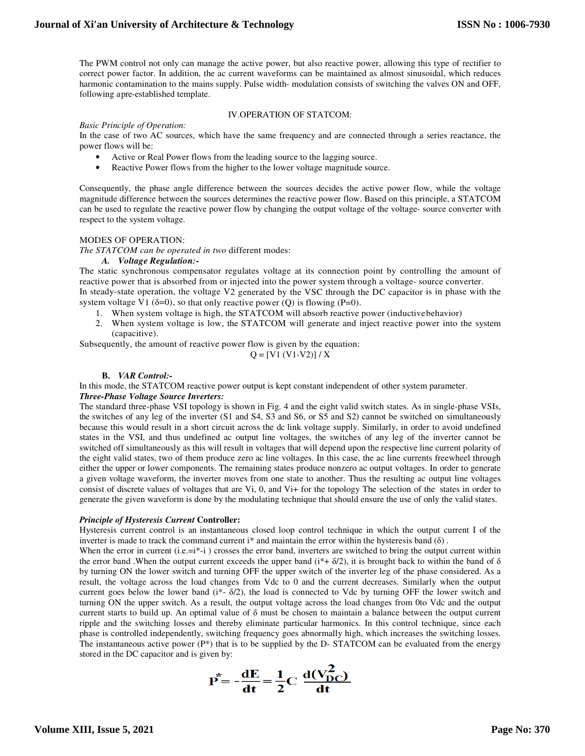The PWM control not only can manage the active power, but also reactive power, allowing this type of rectifier to correct power factor. In addition, the ac current waveforms can be maintained as almost sinusoidal, which reduces harmonic contamination to the mains supply. Pulse width- modulation consists of switching the valves ON and OFF, following a pre-established template.

# IV.OPERATION OF STATCOM:

#### *Basic Principle of Operation:*

In the case of two AC sources, which have the same frequency and are connected through a series reactance, the power flows will be:

- Active or Real Power flows from the leading source to the lagging source.
- Reactive Power flows from the higher to the lower voltage magnitude source.

Consequently, the phase angle difference between the sources decides the active power flow, while the voltage magnitude difference between the sources determines the reactive power flow. Based on this principle, a STATCOM can be used to regulate the reactive power flow by changing the output voltage of the voltage- source converter with respect to the system voltage.

## MODES OF OPERATION:

*The STATCOM can be operated in two* different modes:

#### *A. Voltage Regulation:-*

The static synchronous compensator regulates voltage at its connection point by controlling the amount of reactive power that is absorbed from or injected into the power system through a voltage- source converter. In steady-state operation, the voltage V2 generated by the VSC through the DC capacitor is in phase with the system voltage V1 ( $\delta$ =0), so that only reactive power (Q) is flowing (P=0).

- 1. When system voltage is high, the STATCOM will absorb reactive power (inductive behavior)
- 2. When system voltage is low, the STATCOM will generate and inject reactive power into the system (capacitive).

Subsequently, the amount of reactive power flow is given by the equation:

 $Q = [V1 (V1-V2)] / X$ 

## **B.** *VAR Control:-*

In this mode, the STATCOM reactive power output is kept constant independent of other system parameter.

# *Three-Phase Voltage Source Inverters:*

The standard three-phase VSI topology is shown in Fig. 4 and the eight valid switch states. As in single-phase VSIs, the switches of any leg of the inverter (S1 and S4, S3 and S6, or S5 and S2) cannot be switched on simultaneously because this would result in a short circuit across the dc link voltage supply. Similarly, in order to avoid undefined states in the VSI, and thus undefined ac output line voltages, the switches of any leg of the inverter cannot be switched off simultaneously as this will result in voltages that will depend upon the respective line current polarity of the eight valid states, two of them produce zero ac line voltages. In this case, the ac line currents freewheel through either the upper or lower components. The remaining states produce nonzero ac output voltages. In order to generate a given voltage waveform, the inverter moves from one state to another. Thus the resulting ac output line voltages consist of discrete values of voltages that are Vi, 0, and Vi+ for the topology The selection of the states in order to generate the given waveform is done by the modulating technique that should ensure the use of only the valid states.

#### *Principle of Hysteresis Current* **Controller:**

Hysteresis current control is an instantaneous closed loop control technique in which the output current I of the inverter is made to track the command current i\* and maintain the error within the hysteresis band  $(\delta)$ .

When the error in current  $(i.e.=i^*-i)$  crosses the error band, inverters are switched to bring the output current within the error band .When the output current exceeds the upper band  $(i^* + \delta/2)$ , it is brought back to within the band of  $\delta$ by turning ON the lower switch and turning OFF the upper switch of the inverter leg of the phase considered. As a result, the voltage across the load changes from Vdc to 0 and the current decreases. Similarly when the output current goes below the lower band ( $i^*$ -  $\delta/2$ ), the load is connected to Vdc by turning OFF the lower switch and turning ON the upper switch. As a result, the output voltage across the load changes from 0to Vdc and the output current starts to build up. An optimal value of δ must be chosen to maintain a balance between the output current ripple and the switching losses and thereby eliminate particular harmonics. In this control technique, since each phase is controlled independently, switching frequency goes abnormally high, which increases the switching losses. The instantaneous active power  $(P^*)$  that is to be supplied by the D- STATCOM can be evaluated from the energy stored in the DC capacitor and is given by:

$$
\vec{P} = -\frac{dE}{dt} = \frac{1}{2}C \frac{d(V_{DC}^2)}{dt}
$$